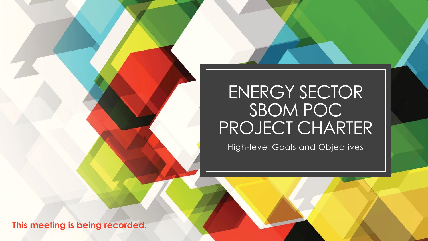### ENERGY SECTOR SBOM POC PROJECT CHARTER

High-level Goals and Objectives

**This meeting is being recorded.**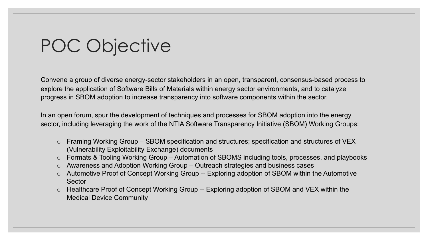# POC Objective

Convene a group of diverse energy-sector stakeholders in an open, transparent, consensus-based process to explore the application of Software Bills of Materials within energy sector environments, and to catalyze progress in SBOM adoption to increase transparency into software components within the sector.

In an open forum, spur the development of techniques and processes for SBOM adoption into the energy sector, including leveraging the work of the NTIA Software Transparency Initiative (SBOM) Working Groups:

- o Framing Working Group SBOM specification and structures; specification and structures of VEX (Vulnerability Exploitability Exchange) documents
- o Formats & Tooling Working Group Automation of SBOMS including tools, processes, and playbooks
- o Awareness and Adoption Working Group Outreach strategies and business cases
- o Automotive Proof of Concept Working Group -- Exploring adoption of SBOM within the Automotive **Sector**
- o Healthcare Proof of Concept Working Group -- Exploring adoption of SBOM and VEX within the Medical Device Community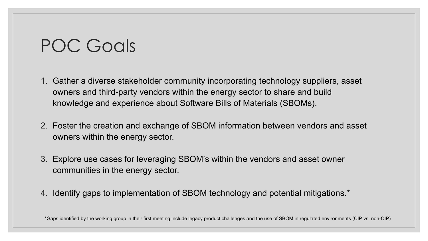### POC Goals

- 1. Gather a diverse stakeholder community incorporating technology suppliers, asset owners and third-party vendors within the energy sector to share and build knowledge and experience about Software Bills of Materials (SBOMs).
- 2. Foster the creation and exchange of SBOM information between vendors and asset owners within the energy sector.
- 3. Explore use cases for leveraging SBOM's within the vendors and asset owner communities in the energy sector.
- 4. Identify gaps to implementation of SBOM technology and potential mitigations.\*

\*Gaps identified by the working group in their first meeting include legacy product challenges and the use of SBOM in regulated environments (CIP vs. non-CIP)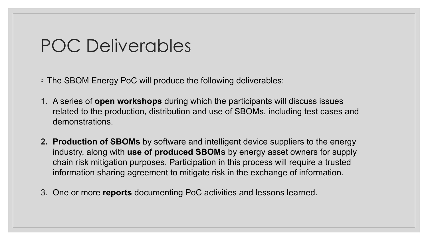### POC Deliverables

◦ The SBOM Energy PoC will produce the following deliverables:

- 1. A series of **open workshops** during which the participants will discuss issues related to the production, distribution and use of SBOMs, including test cases and demonstrations.
- **2. Production of SBOMs** by software and intelligent device suppliers to the energy industry, along with **use of produced SBOMs** by energy asset owners for supply chain risk mitigation purposes. Participation in this process will require a trusted information sharing agreement to mitigate risk in the exchange of information.
- 3. One or more **reports** documenting PoC activities and lessons learned.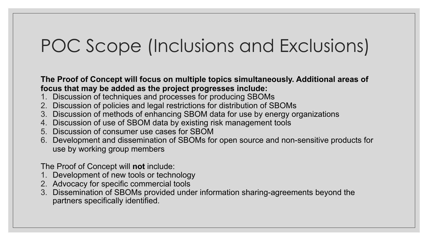# POC Scope (Inclusions and Exclusions)

**The Proof of Concept will focus on multiple topics simultaneously. Additional areas of focus that may be added as the project progresses include:**

- 1. Discussion of techniques and processes for producing SBOMs
- 2. Discussion of policies and legal restrictions for distribution of SBOMs
- 3. Discussion of methods of enhancing SBOM data for use by energy organizations
- 4. Discussion of use of SBOM data by existing risk management tools
- 5. Discussion of consumer use cases for SBOM
- 6. Development and dissemination of SBOMs for open source and non-sensitive products for use by working group members

The Proof of Concept will **not** include:

- 1. Development of new tools or technology
- 2. Advocacy for specific commercial tools
- 3. Dissemination of SBOMs provided under information sharing-agreements beyond the partners specifically identified.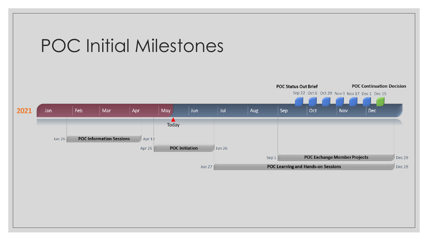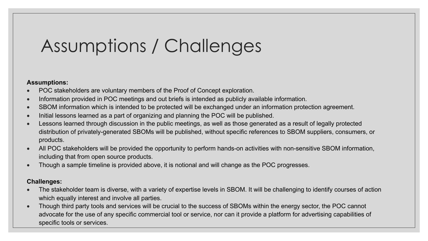# Assumptions / Challenges

#### **Assumptions:**

- POC stakeholders are voluntary members of the Proof of Concept exploration.
- Information provided in POC meetings and out briefs is intended as publicly available information.
- SBOM information which is intended to be protected will be exchanged under an information protection agreement.
- Initial lessons learned as a part of organizing and planning the POC will be published.
- Lessons learned through discussion in the public meetings, as well as those generated as a result of legally protected distribution of privately-generated SBOMs will be published, without specific references to SBOM suppliers, consumers, or products.
- All POC stakeholders will be provided the opportunity to perform hands-on activities with non-sensitive SBOM information, including that from open source products.
- Though a sample timeline is provided above, it is notional and will change as the POC progresses.

#### **Challenges:**

- The stakeholder team is diverse, with a variety of expertise levels in SBOM. It will be challenging to identify courses of action which equally interest and involve all parties.
- Though third party tools and services will be crucial to the success of SBOMs within the energy sector, the POC cannot advocate for the use of any specific commercial tool or service, nor can it provide a platform for advertising capabilities of specific tools or services.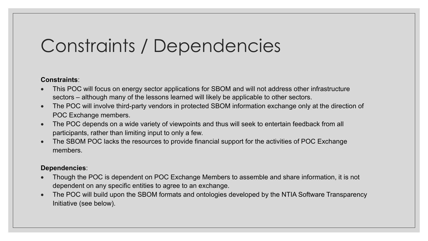# Constraints / Dependencies

#### **Constraints**:

- This POC will focus on energy sector applications for SBOM and will not address other infrastructure sectors – although many of the lessons learned will likely be applicable to other sectors.
- The POC will involve third-party vendors in protected SBOM information exchange only at the direction of POC Exchange members.
- The POC depends on a wide variety of viewpoints and thus will seek to entertain feedback from all participants, rather than limiting input to only a few.
- The SBOM POC lacks the resources to provide financial support for the activities of POC Exchange members.

#### **Dependencies**:

- Though the POC is dependent on POC Exchange Members to assemble and share information, it is not dependent on any specific entities to agree to an exchange.
- The POC will build upon the SBOM formats and ontologies developed by the NTIA Software Transparency Initiative (see below).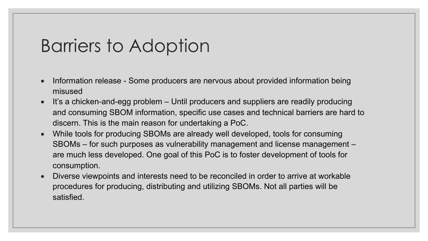### Barriers to Adoption

- Information release Some producers are nervous about provided information being misused
- It's a chicken-and-egg problem Until producers and suppliers are readily producing and consuming SBOM information, specific use cases and technical barriers are hard to discern. This is the main reason for undertaking a PoC.
- While tools for producing SBOMs are already well developed, tools for consuming SBOMs – for such purposes as vulnerability management and license management – are much less developed. One goal of this PoC is to foster development of tools for consumption.
- Diverse viewpoints and interests need to be reconciled in order to arrive at workable procedures for producing, distributing and utilizing SBOMs. Not all parties will be satisfied.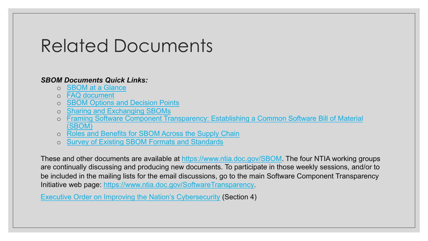# Related Docum[ents](https://www.ntia.doc.gov/SBOM)

#### *SBOM Documents Quick Links:*

- o [SBOM at a Glance](https://www.whitehouse.gov/briefing-room/presidential-actions/2021/05/12/executive-order-on-improving-the-nations-cybersecurity/)
- o FAQ document
- o SBOM Options and Decision Points
- o Sharing and Exchanging SBOMs
- o Framing Software Component Transparency: Establishing a Com (SBOM)
- o Roles and Benefits for SBOM Across the Supply Chain
- o Survey of Existing SBOM Formats and Standards

These and other documents are available at https://www.ntia.doc.gov/SBO are continually discussing and producing new documents. To participate in be included in the mailing lists for the email discussions, go to the main Sott Initiative web page: https://www.ntia.doc.gov/SoftwareTransparency.

Executive Order on Improving the Nation's Cybersecurity (Section 4)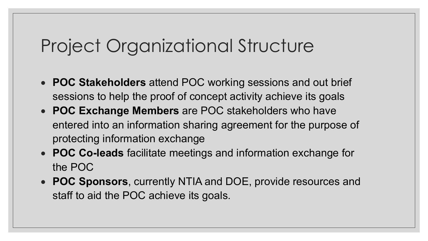# Project Organizational Structure

- **POC Stakeholders** attend POC working sessions and out brief sessions to help the proof of concept activity achieve its goals
- **POC Exchange Members** are POC stakeholders who have entered into an information sharing agreement for the purpose of protecting information exchange
- **POC Co-leads** facilitate meetings and information exchange for the POC
- **POC Sponsors**, currently NTIA and DOE, provide resources and staff to aid the POC achieve its goals.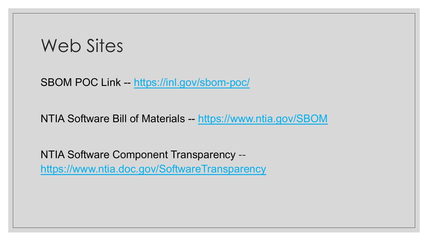### [Web Sites](https://www.ntia.doc.gov/SoftwareTransparency)

SBOM POC Link -- https://inl.gov/sbom-poc/

NTIA Software Bill of Materials -- https://www.ntia

NTIA Software Component Transparency - https://www.ntia.doc.gov/SoftwareTransparency